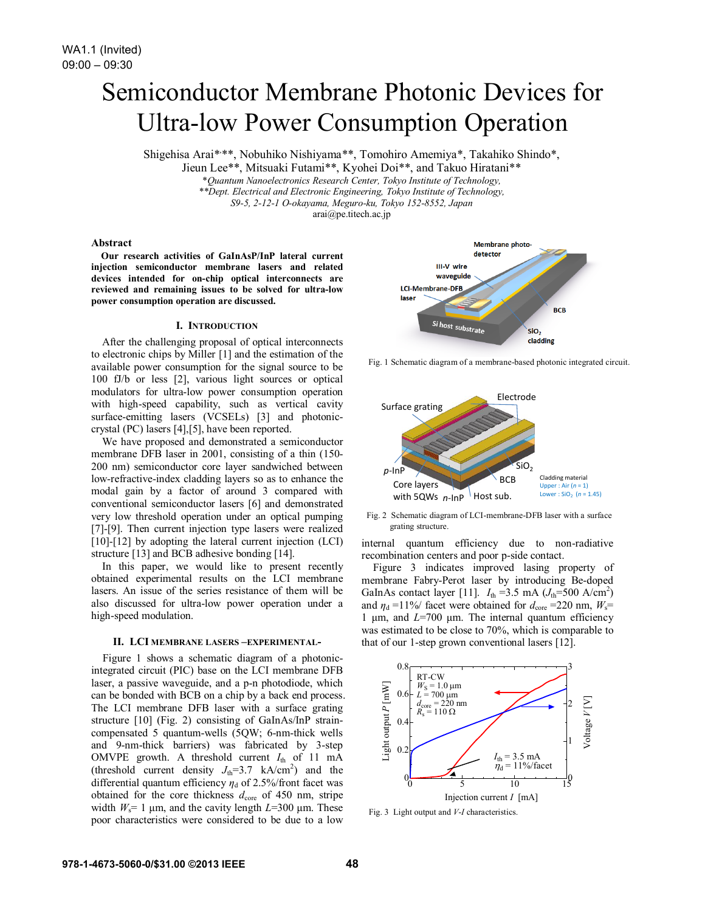# Semiconductor Membrane Photonic Devices for Ultra-low Power Consumption Operation

Shigehisa Arai\*\*\*, Nobuhiko Nishiyama\*\*, Tomohiro Amemiya\*, Takahiko Shindo\*,

Jieun Lee\*\*, Mitsuaki Futami\*\*, Kyohei Doi\*\*, and Takuo Hiratani\*\*

\**Quantum Nanoelectronics Research Center, Tokyo Institute of Technology,*

*\*\*Dept. Electrical and Electronic Engineering, Tokyo Institute of Technology,*

*S9-5, 2-12-1 O-okayama, Meguro-ku, Tokyo 152-8552, Japan*

arai@pe.titech.ac.jp

## **Abstract**

**Our research activities of GaInAsP/InP lateral current injection semiconductor membrane lasers and related devices intended for on-chip optical interconnects are reviewed and remaining issues to be solved for ultra-low power consumption operation are discussed.** 

## **I. INTRODUCTION**

After the challenging proposal of optical interconnects to electronic chips by Miller [1] and the estimation of the available power consumption for the signal source to be 100 fJ/b or less [2], various light sources or optical modulators for ultra-low power consumption operation with high-speed capability, such as vertical cavity surface-emitting lasers (VCSELs) [3] and photoniccrystal (PC) lasers [4],[5], have been reported.

We have proposed and demonstrated a semiconductor membrane DFB laser in 2001, consisting of a thin (150- 200 nm) semiconductor core layer sandwiched between low-refractive-index cladding layers so as to enhance the modal gain by a factor of around 3 compared with conventional semiconductor lasers [6] and demonstrated very low threshold operation under an optical pumping [7]-[9]. Then current injection type lasers were realized [10]-[12] by adopting the lateral current injection (LCI) structure [13] and BCB adhesive bonding [14].

In this paper, we would like to present recently obtained experimental results on the LCI membrane lasers. An issue of the series resistance of them will be also discussed for ultra-low power operation under a high-speed modulation.

## **II. LCI MEMBRANE LASERS –EXPERIMENTAL-**

Figure 1 shows a schematic diagram of a photonicintegrated circuit (PIC) base on the LCI membrane DFB laser, a passive waveguide, and a p-n photodiode, which can be bonded with BCB on a chip by a back end process. The LCI membrane DFB laser with a surface grating structure [10] (Fig. 2) consisting of GaInAs/InP straincompensated 5 quantum-wells (5QW; 6-nm-thick wells and 9-nm-thick barriers) was fabricated by 3-step OMVPE growth. A threshold current  $I_{th}$  of 11 mA (threshold current density  $J_{\text{th}} = 3.7 \text{ kA/cm}^2$ ) and the differential quantum efficiency *η*<sub>d</sub> of 2.5%/front facet was obtained for the core thickness  $d_{\text{core}}$  of 450 nm, stripe width  $W_s$ = 1  $\mu$ m, and the cavity length *L*=300  $\mu$ m. These poor characteristics were considered to be due to a low



Fig. 1 Schematic diagram of a membrane-based photonic integrated circuit.



Fig. 2 Schematic diagram of LCI-membrane-DFB laser with a surface grating structure.

internal quantum efficiency due to non-radiative recombination centers and poor p-side contact.

Figure 3 indicates improved lasing property of membrane Fabry-Perot laser by introducing Be-doped GaInAs contact layer [11].  $I_{\text{th}} = 3.5 \text{ mA} (J_{\text{th}} = 500 \text{ A/cm}^2)$ and  $\eta_d = 11\%$  facet were obtained for  $d_{\text{core}} = 220$  nm,  $W_s =$ 1 μm, and *L*=700 μm. The internal quantum efficiency was estimated to be close to 70%, which is comparable to that of our 1-step grown conventional lasers [12].



Fig. 3 Light output and *V*-*I* characteristics.